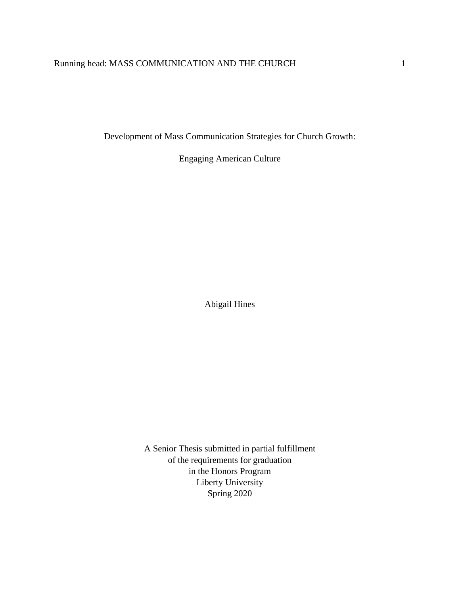# Running head: MASS COMMUNICATION AND THE CHURCH 1

Development of Mass Communication Strategies for Church Growth:

Engaging American Culture

Abigail Hines

A Senior Thesis submitted in partial fulfillment of the requirements for graduation in the Honors Program Liberty University Spring 2020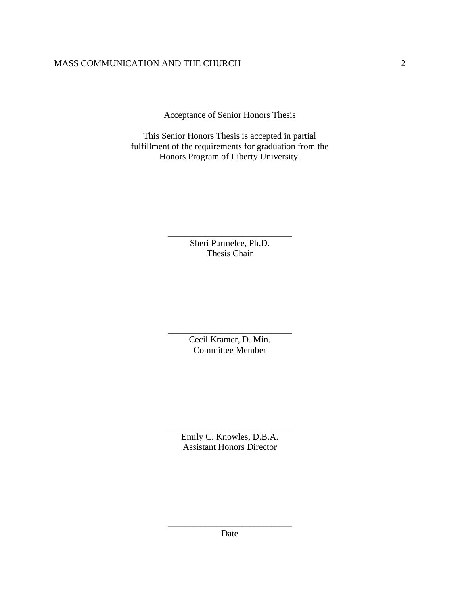Acceptance of Senior Honors Thesis

This Senior Honors Thesis is accepted in partial fulfillment of the requirements for graduation from the Honors Program of Liberty University.

> \_\_\_\_\_\_\_\_\_\_\_\_\_\_\_\_\_\_\_\_\_\_\_\_\_\_\_\_\_\_ Sheri Parmelee, Ph.D. Thesis Chair

> \_\_\_\_\_\_\_\_\_\_\_\_\_\_\_\_\_\_\_\_\_\_\_\_\_\_\_\_\_\_ Cecil Kramer, D. Min. Committee Member

> \_\_\_\_\_\_\_\_\_\_\_\_\_\_\_\_\_\_\_\_\_\_\_\_\_\_\_\_\_\_ Emily C. Knowles, D.B.A. Assistant Honors Director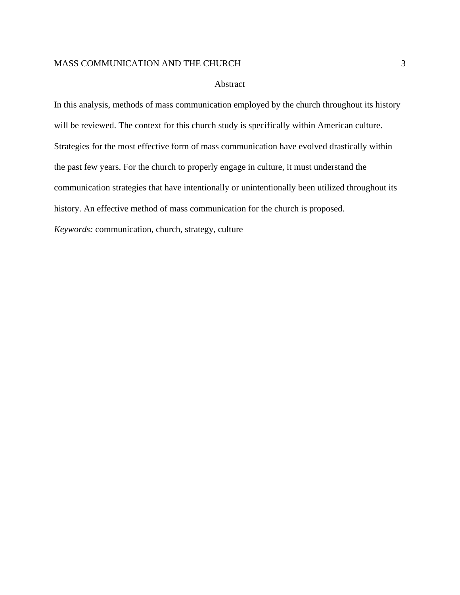#### Abstract

In this analysis, methods of mass communication employed by the church throughout its history will be reviewed. The context for this church study is specifically within American culture. Strategies for the most effective form of mass communication have evolved drastically within the past few years. For the church to properly engage in culture, it must understand the communication strategies that have intentionally or unintentionally been utilized throughout its history. An effective method of mass communication for the church is proposed.

*Keywords:* communication, church, strategy, culture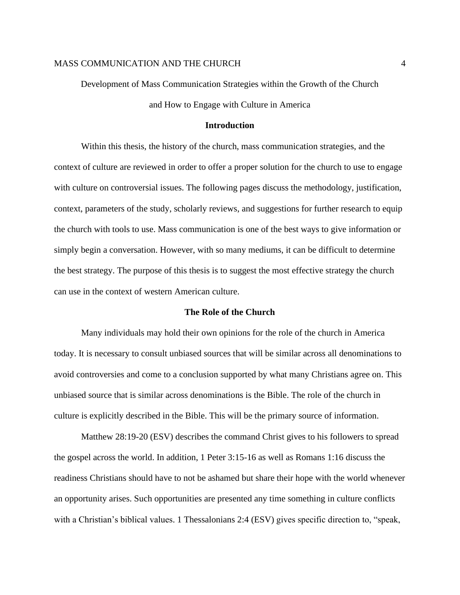Development of Mass Communication Strategies within the Growth of the Church and How to Engage with Culture in America

## **Introduction**

Within this thesis, the history of the church, mass communication strategies, and the context of culture are reviewed in order to offer a proper solution for the church to use to engage with culture on controversial issues. The following pages discuss the methodology, justification, context, parameters of the study, scholarly reviews, and suggestions for further research to equip the church with tools to use. Mass communication is one of the best ways to give information or simply begin a conversation. However, with so many mediums, it can be difficult to determine the best strategy. The purpose of this thesis is to suggest the most effective strategy the church can use in the context of western American culture.

## **The Role of the Church**

Many individuals may hold their own opinions for the role of the church in America today. It is necessary to consult unbiased sources that will be similar across all denominations to avoid controversies and come to a conclusion supported by what many Christians agree on. This unbiased source that is similar across denominations is the Bible. The role of the church in culture is explicitly described in the Bible. This will be the primary source of information.

Matthew 28:19-20 (ESV) describes the command Christ gives to his followers to spread the gospel across the world. In addition, 1 Peter 3:15-16 as well as Romans 1:16 discuss the readiness Christians should have to not be ashamed but share their hope with the world whenever an opportunity arises. Such opportunities are presented any time something in culture conflicts with a Christian's biblical values. 1 Thessalonians 2:4 (ESV) gives specific direction to, "speak,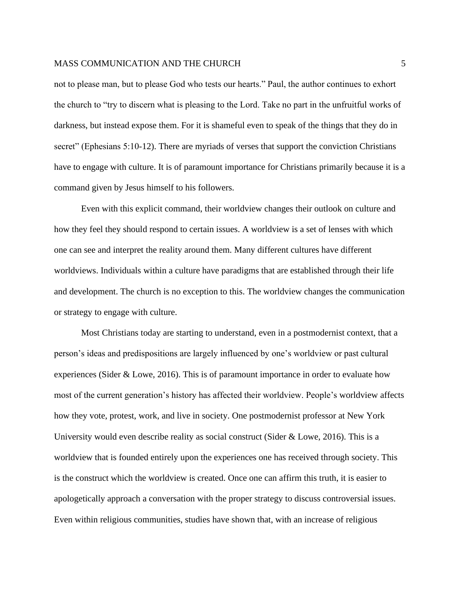not to please man, but to please God who tests our hearts." Paul, the author continues to exhort the church to "try to discern what is pleasing to the Lord. Take no part in the unfruitful works of darkness, but instead expose them. For it is shameful even to speak of the things that they do in secret" (Ephesians 5:10-12). There are myriads of verses that support the conviction Christians have to engage with culture. It is of paramount importance for Christians primarily because it is a command given by Jesus himself to his followers.

Even with this explicit command, their worldview changes their outlook on culture and how they feel they should respond to certain issues. A worldview is a set of lenses with which one can see and interpret the reality around them. Many different cultures have different worldviews. Individuals within a culture have paradigms that are established through their life and development. The church is no exception to this. The worldview changes the communication or strategy to engage with culture.

Most Christians today are starting to understand, even in a postmodernist context, that a person's ideas and predispositions are largely influenced by one's worldview or past cultural experiences (Sider & Lowe, 2016). This is of paramount importance in order to evaluate how most of the current generation's history has affected their worldview. People's worldview affects how they vote, protest, work, and live in society. One postmodernist professor at New York University would even describe reality as social construct (Sider & Lowe, 2016). This is a worldview that is founded entirely upon the experiences one has received through society. This is the construct which the worldview is created. Once one can affirm this truth, it is easier to apologetically approach a conversation with the proper strategy to discuss controversial issues. Even within religious communities, studies have shown that, with an increase of religious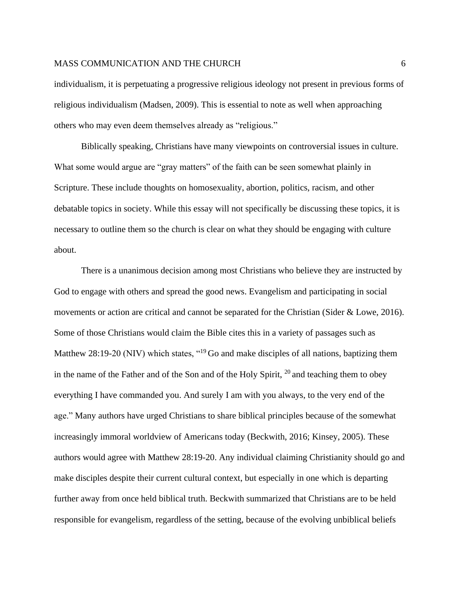#### MASS COMMUNICATION AND THE CHURCH FOR THE COMMUNICATION OF  $6$

individualism, it is perpetuating a progressive religious ideology not present in previous forms of religious individualism (Madsen, 2009). This is essential to note as well when approaching others who may even deem themselves already as "religious."

Biblically speaking, Christians have many viewpoints on controversial issues in culture. What some would argue are "gray matters" of the faith can be seen somewhat plainly in Scripture. These include thoughts on homosexuality, abortion, politics, racism, and other debatable topics in society. While this essay will not specifically be discussing these topics, it is necessary to outline them so the church is clear on what they should be engaging with culture about.

There is a unanimous decision among most Christians who believe they are instructed by God to engage with others and spread the good news. Evangelism and participating in social movements or action are critical and cannot be separated for the Christian (Sider & Lowe, 2016). Some of those Christians would claim the Bible cites this in a variety of passages such as Matthew 28:19-20 (NIV) which states, "<sup>19</sup> Go and make disciples of all nations, baptizing them in the name of the Father and of the Son and of the Holy Spirit,  $^{20}$  and teaching them to obey everything I have commanded you. And surely I am with you always, to the very end of the age." Many authors have urged Christians to share biblical principles because of the somewhat increasingly immoral worldview of Americans today (Beckwith, 2016; Kinsey, 2005). These authors would agree with Matthew 28:19-20. Any individual claiming Christianity should go and make disciples despite their current cultural context, but especially in one which is departing further away from once held biblical truth. Beckwith summarized that Christians are to be held responsible for evangelism, regardless of the setting, because of the evolving unbiblical beliefs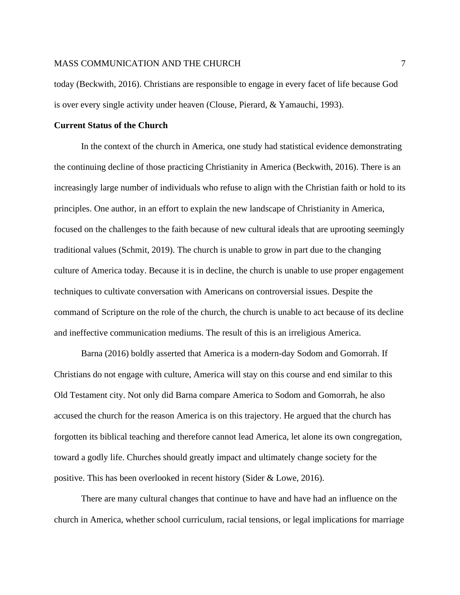today (Beckwith, 2016). Christians are responsible to engage in every facet of life because God is over every single activity under heaven (Clouse, Pierard, & Yamauchi, 1993).

## **Current Status of the Church**

In the context of the church in America, one study had statistical evidence demonstrating the continuing decline of those practicing Christianity in America (Beckwith, 2016). There is an increasingly large number of individuals who refuse to align with the Christian faith or hold to its principles. One author, in an effort to explain the new landscape of Christianity in America, focused on the challenges to the faith because of new cultural ideals that are uprooting seemingly traditional values (Schmit, 2019). The church is unable to grow in part due to the changing culture of America today. Because it is in decline, the church is unable to use proper engagement techniques to cultivate conversation with Americans on controversial issues. Despite the command of Scripture on the role of the church, the church is unable to act because of its decline and ineffective communication mediums. The result of this is an irreligious America.

Barna (2016) boldly asserted that America is a modern-day Sodom and Gomorrah. If Christians do not engage with culture, America will stay on this course and end similar to this Old Testament city. Not only did Barna compare America to Sodom and Gomorrah, he also accused the church for the reason America is on this trajectory. He argued that the church has forgotten its biblical teaching and therefore cannot lead America, let alone its own congregation, toward a godly life. Churches should greatly impact and ultimately change society for the positive. This has been overlooked in recent history (Sider & Lowe, 2016).

There are many cultural changes that continue to have and have had an influence on the church in America, whether school curriculum, racial tensions, or legal implications for marriage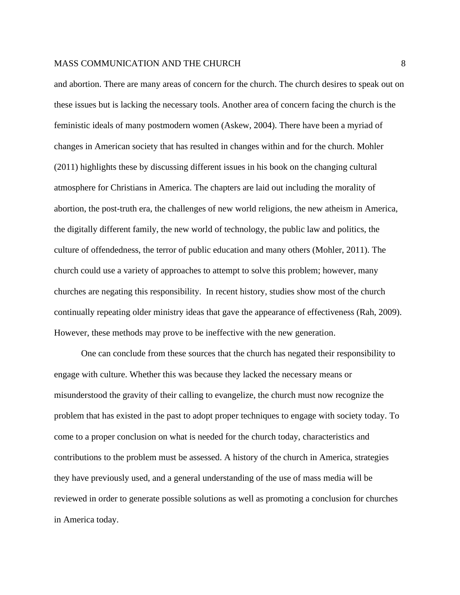and abortion. There are many areas of concern for the church. The church desires to speak out on these issues but is lacking the necessary tools. Another area of concern facing the church is the feministic ideals of many postmodern women (Askew, 2004). There have been a myriad of changes in American society that has resulted in changes within and for the church. Mohler (2011) highlights these by discussing different issues in his book on the changing cultural atmosphere for Christians in America. The chapters are laid out including the morality of abortion, the post-truth era, the challenges of new world religions, the new atheism in America, the digitally different family, the new world of technology, the public law and politics, the culture of offendedness, the terror of public education and many others (Mohler, 2011). The church could use a variety of approaches to attempt to solve this problem; however, many churches are negating this responsibility. In recent history, studies show most of the church continually repeating older ministry ideas that gave the appearance of effectiveness (Rah, 2009). However, these methods may prove to be ineffective with the new generation.

One can conclude from these sources that the church has negated their responsibility to engage with culture. Whether this was because they lacked the necessary means or misunderstood the gravity of their calling to evangelize, the church must now recognize the problem that has existed in the past to adopt proper techniques to engage with society today. To come to a proper conclusion on what is needed for the church today, characteristics and contributions to the problem must be assessed. A history of the church in America, strategies they have previously used, and a general understanding of the use of mass media will be reviewed in order to generate possible solutions as well as promoting a conclusion for churches in America today.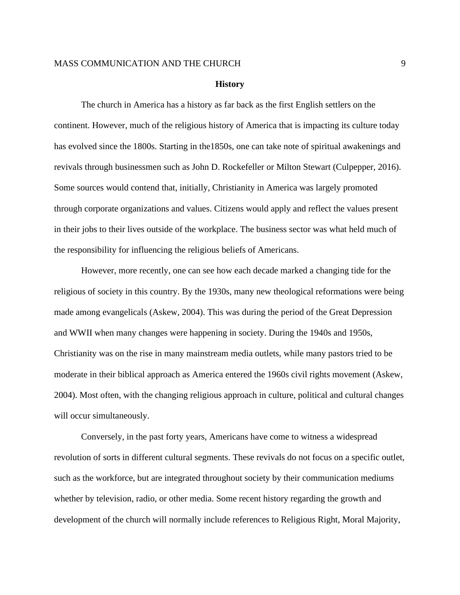#### **History**

The church in America has a history as far back as the first English settlers on the continent. However, much of the religious history of America that is impacting its culture today has evolved since the 1800s. Starting in the1850s, one can take note of spiritual awakenings and revivals through businessmen such as John D. Rockefeller or Milton Stewart (Culpepper, 2016). Some sources would contend that, initially, Christianity in America was largely promoted through corporate organizations and values. Citizens would apply and reflect the values present in their jobs to their lives outside of the workplace. The business sector was what held much of the responsibility for influencing the religious beliefs of Americans.

However, more recently, one can see how each decade marked a changing tide for the religious of society in this country. By the 1930s, many new theological reformations were being made among evangelicals (Askew, 2004). This was during the period of the Great Depression and WWII when many changes were happening in society. During the 1940s and 1950s, Christianity was on the rise in many mainstream media outlets, while many pastors tried to be moderate in their biblical approach as America entered the 1960s civil rights movement (Askew, 2004). Most often, with the changing religious approach in culture, political and cultural changes will occur simultaneously.

Conversely, in the past forty years, Americans have come to witness a widespread revolution of sorts in different cultural segments. These revivals do not focus on a specific outlet, such as the workforce, but are integrated throughout society by their communication mediums whether by television, radio, or other media. Some recent history regarding the growth and development of the church will normally include references to Religious Right, Moral Majority,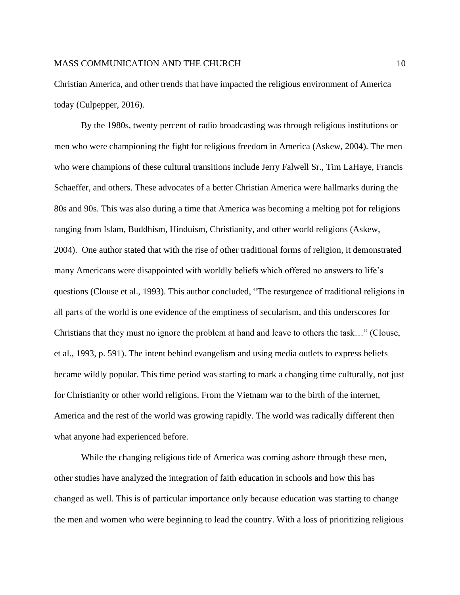Christian America, and other trends that have impacted the religious environment of America today (Culpepper, 2016).

By the 1980s, twenty percent of radio broadcasting was through religious institutions or men who were championing the fight for religious freedom in America (Askew, 2004). The men who were champions of these cultural transitions include Jerry Falwell Sr., Tim LaHaye, Francis Schaeffer, and others. These advocates of a better Christian America were hallmarks during the 80s and 90s. This was also during a time that America was becoming a melting pot for religions ranging from Islam, Buddhism, Hinduism, Christianity, and other world religions (Askew, 2004). One author stated that with the rise of other traditional forms of religion, it demonstrated many Americans were disappointed with worldly beliefs which offered no answers to life's questions (Clouse et al., 1993). This author concluded, "The resurgence of traditional religions in all parts of the world is one evidence of the emptiness of secularism, and this underscores for Christians that they must no ignore the problem at hand and leave to others the task…" (Clouse, et al., 1993, p. 591). The intent behind evangelism and using media outlets to express beliefs became wildly popular. This time period was starting to mark a changing time culturally, not just for Christianity or other world religions. From the Vietnam war to the birth of the internet, America and the rest of the world was growing rapidly. The world was radically different then what anyone had experienced before.

While the changing religious tide of America was coming ashore through these men, other studies have analyzed the integration of faith education in schools and how this has changed as well. This is of particular importance only because education was starting to change the men and women who were beginning to lead the country. With a loss of prioritizing religious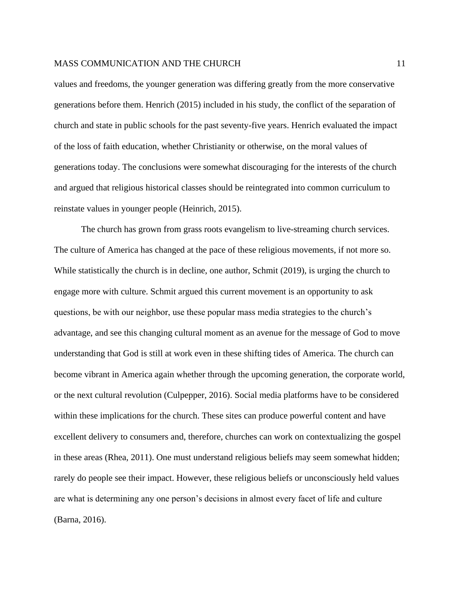values and freedoms, the younger generation was differing greatly from the more conservative generations before them. Henrich (2015) included in his study, the conflict of the separation of church and state in public schools for the past seventy-five years. Henrich evaluated the impact of the loss of faith education, whether Christianity or otherwise, on the moral values of generations today. The conclusions were somewhat discouraging for the interests of the church and argued that religious historical classes should be reintegrated into common curriculum to reinstate values in younger people (Heinrich, 2015).

The church has grown from grass roots evangelism to live-streaming church services. The culture of America has changed at the pace of these religious movements, if not more so. While statistically the church is in decline, one author, Schmit (2019), is urging the church to engage more with culture. Schmit argued this current movement is an opportunity to ask questions, be with our neighbor, use these popular mass media strategies to the church's advantage, and see this changing cultural moment as an avenue for the message of God to move understanding that God is still at work even in these shifting tides of America. The church can become vibrant in America again whether through the upcoming generation, the corporate world, or the next cultural revolution (Culpepper, 2016). Social media platforms have to be considered within these implications for the church. These sites can produce powerful content and have excellent delivery to consumers and, therefore, churches can work on contextualizing the gospel in these areas (Rhea, 2011). One must understand religious beliefs may seem somewhat hidden; rarely do people see their impact. However, these religious beliefs or unconsciously held values are what is determining any one person's decisions in almost every facet of life and culture (Barna, 2016).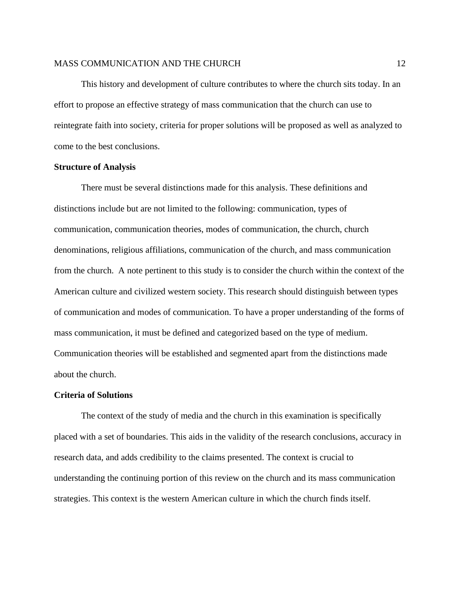This history and development of culture contributes to where the church sits today. In an effort to propose an effective strategy of mass communication that the church can use to reintegrate faith into society, criteria for proper solutions will be proposed as well as analyzed to come to the best conclusions.

#### **Structure of Analysis**

There must be several distinctions made for this analysis. These definitions and distinctions include but are not limited to the following: communication, types of communication, communication theories, modes of communication, the church, church denominations, religious affiliations, communication of the church, and mass communication from the church. A note pertinent to this study is to consider the church within the context of the American culture and civilized western society. This research should distinguish between types of communication and modes of communication. To have a proper understanding of the forms of mass communication, it must be defined and categorized based on the type of medium. Communication theories will be established and segmented apart from the distinctions made about the church.

#### **Criteria of Solutions**

The context of the study of media and the church in this examination is specifically placed with a set of boundaries. This aids in the validity of the research conclusions, accuracy in research data, and adds credibility to the claims presented. The context is crucial to understanding the continuing portion of this review on the church and its mass communication strategies. This context is the western American culture in which the church finds itself.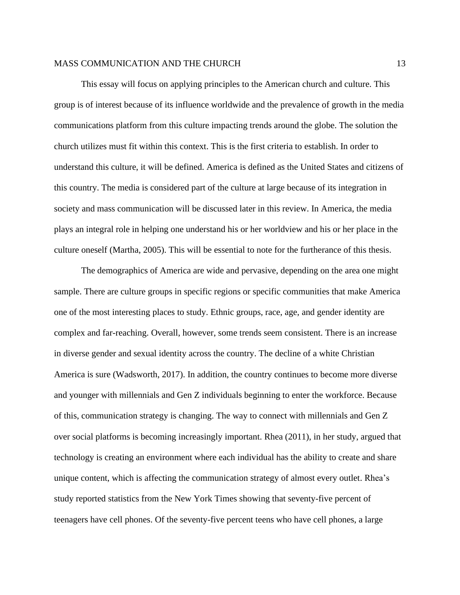This essay will focus on applying principles to the American church and culture. This group is of interest because of its influence worldwide and the prevalence of growth in the media communications platform from this culture impacting trends around the globe. The solution the church utilizes must fit within this context. This is the first criteria to establish. In order to understand this culture, it will be defined. America is defined as the United States and citizens of this country. The media is considered part of the culture at large because of its integration in society and mass communication will be discussed later in this review. In America, the media plays an integral role in helping one understand his or her worldview and his or her place in the culture oneself (Martha, 2005). This will be essential to note for the furtherance of this thesis.

The demographics of America are wide and pervasive, depending on the area one might sample. There are culture groups in specific regions or specific communities that make America one of the most interesting places to study. Ethnic groups, race, age, and gender identity are complex and far-reaching. Overall, however, some trends seem consistent. There is an increase in diverse gender and sexual identity across the country. The decline of a white Christian America is sure (Wadsworth, 2017). In addition, the country continues to become more diverse and younger with millennials and Gen Z individuals beginning to enter the workforce. Because of this, communication strategy is changing. The way to connect with millennials and Gen Z over social platforms is becoming increasingly important. Rhea (2011), in her study, argued that technology is creating an environment where each individual has the ability to create and share unique content, which is affecting the communication strategy of almost every outlet. Rhea's study reported statistics from the New York Times showing that seventy-five percent of teenagers have cell phones. Of the seventy-five percent teens who have cell phones, a large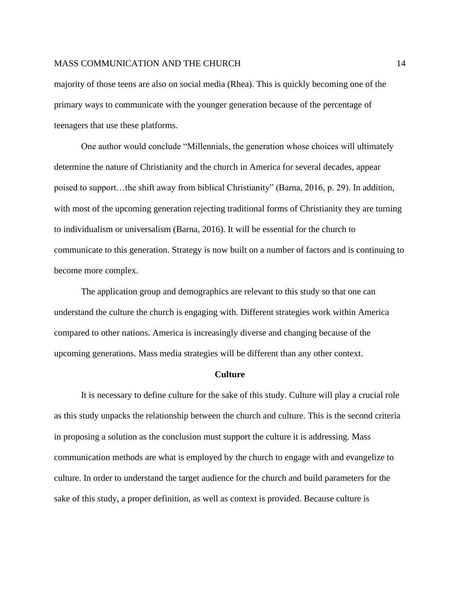majority of those teens are also on social media (Rhea). This is quickly becoming one of the primary ways to communicate with the younger generation because of the percentage of teenagers that use these platforms.

One author would conclude "Millennials, the generation whose choices will ultimately determine the nature of Christianity and the church in America for several decades, appear poised to support…the shift away from biblical Christianity" (Barna, 2016, p. 29). In addition, with most of the upcoming generation rejecting traditional forms of Christianity they are turning to individualism or universalism (Barna, 2016). It will be essential for the church to communicate to this generation. Strategy is now built on a number of factors and is continuing to become more complex.

The application group and demographics are relevant to this study so that one can understand the culture the church is engaging with. Different strategies work within America compared to other nations. America is increasingly diverse and changing because of the upcoming generations. Mass media strategies will be different than any other context.

#### **Culture**

It is necessary to define culture for the sake of this study. Culture will play a crucial role as this study unpacks the relationship between the church and culture. This is the second criteria in proposing a solution as the conclusion must support the culture it is addressing. Mass communication methods are what is employed by the church to engage with and evangelize to culture. In order to understand the target audience for the church and build parameters for the sake of this study, a proper definition, as well as context is provided. Because culture is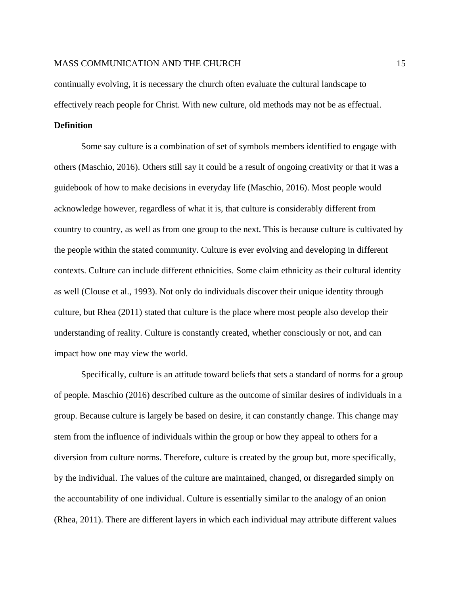continually evolving, it is necessary the church often evaluate the cultural landscape to effectively reach people for Christ. With new culture, old methods may not be as effectual.

## **Definition**

Some say culture is a combination of set of symbols members identified to engage with others (Maschio, 2016). Others still say it could be a result of ongoing creativity or that it was a guidebook of how to make decisions in everyday life (Maschio, 2016). Most people would acknowledge however, regardless of what it is, that culture is considerably different from country to country, as well as from one group to the next. This is because culture is cultivated by the people within the stated community. Culture is ever evolving and developing in different contexts. Culture can include different ethnicities. Some claim ethnicity as their cultural identity as well (Clouse et al., 1993). Not only do individuals discover their unique identity through culture, but Rhea (2011) stated that culture is the place where most people also develop their understanding of reality. Culture is constantly created, whether consciously or not, and can impact how one may view the world.

Specifically, culture is an attitude toward beliefs that sets a standard of norms for a group of people. Maschio (2016) described culture as the outcome of similar desires of individuals in a group. Because culture is largely be based on desire, it can constantly change. This change may stem from the influence of individuals within the group or how they appeal to others for a diversion from culture norms. Therefore, culture is created by the group but, more specifically, by the individual. The values of the culture are maintained, changed, or disregarded simply on the accountability of one individual. Culture is essentially similar to the analogy of an onion (Rhea, 2011). There are different layers in which each individual may attribute different values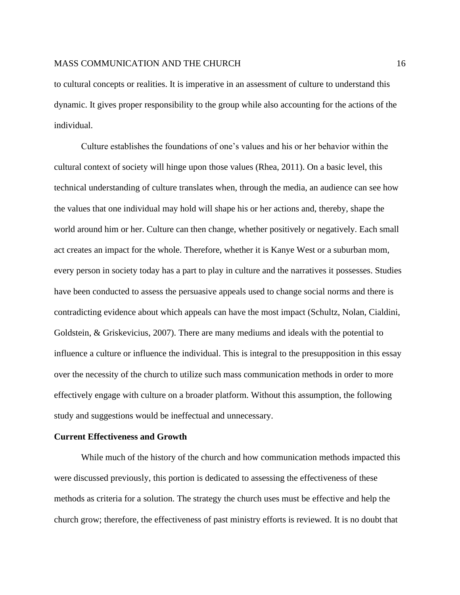to cultural concepts or realities. It is imperative in an assessment of culture to understand this dynamic. It gives proper responsibility to the group while also accounting for the actions of the individual.

Culture establishes the foundations of one's values and his or her behavior within the cultural context of society will hinge upon those values (Rhea, 2011). On a basic level, this technical understanding of culture translates when, through the media, an audience can see how the values that one individual may hold will shape his or her actions and, thereby, shape the world around him or her. Culture can then change, whether positively or negatively. Each small act creates an impact for the whole. Therefore, whether it is Kanye West or a suburban mom, every person in society today has a part to play in culture and the narratives it possesses. Studies have been conducted to assess the persuasive appeals used to change social norms and there is contradicting evidence about which appeals can have the most impact (Schultz, Nolan, Cialdini, Goldstein, & Griskevicius, 2007). There are many mediums and ideals with the potential to influence a culture or influence the individual. This is integral to the presupposition in this essay over the necessity of the church to utilize such mass communication methods in order to more effectively engage with culture on a broader platform. Without this assumption, the following study and suggestions would be ineffectual and unnecessary.

## **Current Effectiveness and Growth**

While much of the history of the church and how communication methods impacted this were discussed previously, this portion is dedicated to assessing the effectiveness of these methods as criteria for a solution. The strategy the church uses must be effective and help the church grow; therefore, the effectiveness of past ministry efforts is reviewed. It is no doubt that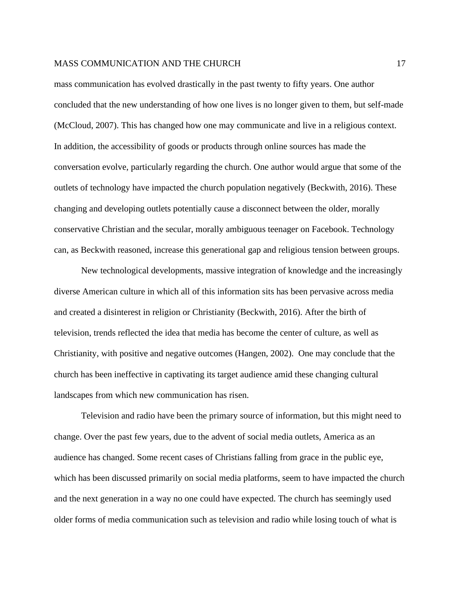mass communication has evolved drastically in the past twenty to fifty years. One author concluded that the new understanding of how one lives is no longer given to them, but self-made (McCloud, 2007). This has changed how one may communicate and live in a religious context. In addition, the accessibility of goods or products through online sources has made the conversation evolve, particularly regarding the church. One author would argue that some of the outlets of technology have impacted the church population negatively (Beckwith, 2016). These changing and developing outlets potentially cause a disconnect between the older, morally conservative Christian and the secular, morally ambiguous teenager on Facebook. Technology can, as Beckwith reasoned, increase this generational gap and religious tension between groups.

New technological developments, massive integration of knowledge and the increasingly diverse American culture in which all of this information sits has been pervasive across media and created a disinterest in religion or Christianity (Beckwith, 2016). After the birth of television, trends reflected the idea that media has become the center of culture, as well as Christianity, with positive and negative outcomes (Hangen, 2002). One may conclude that the church has been ineffective in captivating its target audience amid these changing cultural landscapes from which new communication has risen.

Television and radio have been the primary source of information, but this might need to change. Over the past few years, due to the advent of social media outlets, America as an audience has changed. Some recent cases of Christians falling from grace in the public eye, which has been discussed primarily on social media platforms, seem to have impacted the church and the next generation in a way no one could have expected. The church has seemingly used older forms of media communication such as television and radio while losing touch of what is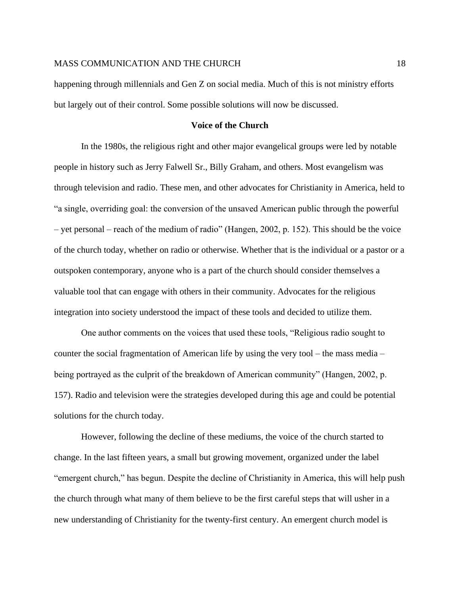happening through millennials and Gen Z on social media. Much of this is not ministry efforts but largely out of their control. Some possible solutions will now be discussed.

## **Voice of the Church**

In the 1980s, the religious right and other major evangelical groups were led by notable people in history such as Jerry Falwell Sr., Billy Graham, and others. Most evangelism was through television and radio. These men, and other advocates for Christianity in America, held to "a single, overriding goal: the conversion of the unsaved American public through the powerful – yet personal – reach of the medium of radio" (Hangen, 2002, p. 152). This should be the voice of the church today, whether on radio or otherwise. Whether that is the individual or a pastor or a outspoken contemporary, anyone who is a part of the church should consider themselves a valuable tool that can engage with others in their community. Advocates for the religious integration into society understood the impact of these tools and decided to utilize them.

One author comments on the voices that used these tools, "Religious radio sought to counter the social fragmentation of American life by using the very tool – the mass media – being portrayed as the culprit of the breakdown of American community" (Hangen, 2002, p. 157). Radio and television were the strategies developed during this age and could be potential solutions for the church today.

However, following the decline of these mediums, the voice of the church started to change. In the last fifteen years, a small but growing movement, organized under the label "emergent church," has begun. Despite the decline of Christianity in America, this will help push the church through what many of them believe to be the first careful steps that will usher in a new understanding of Christianity for the twenty-first century. An emergent church model is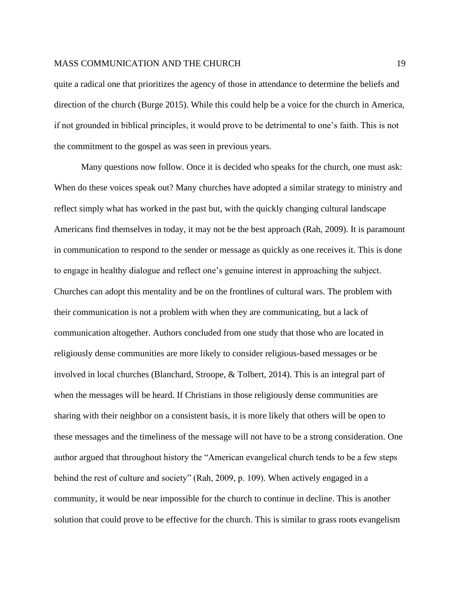quite a radical one that prioritizes the agency of those in attendance to determine the beliefs and direction of the church (Burge 2015). While this could help be a voice for the church in America, if not grounded in biblical principles, it would prove to be detrimental to one's faith. This is not the commitment to the gospel as was seen in previous years.

Many questions now follow. Once it is decided who speaks for the church, one must ask: When do these voices speak out? Many churches have adopted a similar strategy to ministry and reflect simply what has worked in the past but, with the quickly changing cultural landscape Americans find themselves in today, it may not be the best approach (Rah, 2009). It is paramount in communication to respond to the sender or message as quickly as one receives it. This is done to engage in healthy dialogue and reflect one's genuine interest in approaching the subject. Churches can adopt this mentality and be on the frontlines of cultural wars. The problem with their communication is not a problem with when they are communicating, but a lack of communication altogether. Authors concluded from one study that those who are located in religiously dense communities are more likely to consider religious-based messages or be involved in local churches (Blanchard, Stroope, & Tolbert, 2014). This is an integral part of when the messages will be heard. If Christians in those religiously dense communities are sharing with their neighbor on a consistent basis, it is more likely that others will be open to these messages and the timeliness of the message will not have to be a strong consideration. One author argued that throughout history the "American evangelical church tends to be a few steps behind the rest of culture and society" (Rah, 2009, p. 109). When actively engaged in a community, it would be near impossible for the church to continue in decline. This is another solution that could prove to be effective for the church. This is similar to grass roots evangelism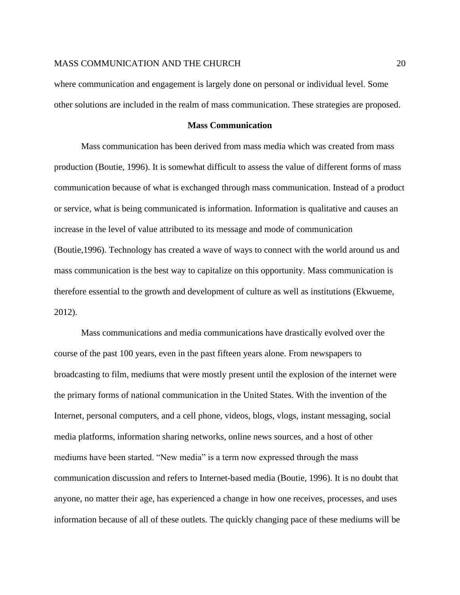where communication and engagement is largely done on personal or individual level. Some other solutions are included in the realm of mass communication. These strategies are proposed.

## **Mass Communication**

Mass communication has been derived from mass media which was created from mass production (Boutie, 1996). It is somewhat difficult to assess the value of different forms of mass communication because of what is exchanged through mass communication. Instead of a product or service, what is being communicated is information. Information is qualitative and causes an increase in the level of value attributed to its message and mode of communication (Boutie,1996). Technology has created a wave of ways to connect with the world around us and mass communication is the best way to capitalize on this opportunity. Mass communication is therefore essential to the growth and development of culture as well as institutions (Ekwueme, 2012).

Mass communications and media communications have drastically evolved over the course of the past 100 years, even in the past fifteen years alone. From newspapers to broadcasting to film, mediums that were mostly present until the explosion of the internet were the primary forms of national communication in the United States. With the invention of the Internet, personal computers, and a cell phone, videos, blogs, vlogs, instant messaging, social media platforms, information sharing networks, online news sources, and a host of other mediums have been started. "New media" is a term now expressed through the mass communication discussion and refers to Internet-based media (Boutie, 1996). It is no doubt that anyone, no matter their age, has experienced a change in how one receives, processes, and uses information because of all of these outlets. The quickly changing pace of these mediums will be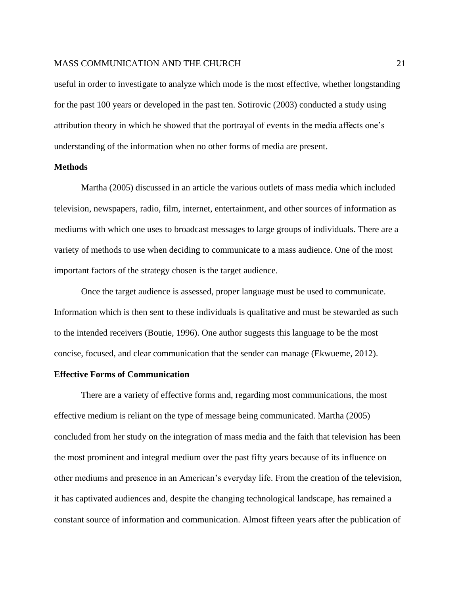useful in order to investigate to analyze which mode is the most effective, whether longstanding for the past 100 years or developed in the past ten. Sotirovic (2003) conducted a study using attribution theory in which he showed that the portrayal of events in the media affects one's understanding of the information when no other forms of media are present.

#### **Methods**

Martha (2005) discussed in an article the various outlets of mass media which included television, newspapers, radio, film, internet, entertainment, and other sources of information as mediums with which one uses to broadcast messages to large groups of individuals. There are a variety of methods to use when deciding to communicate to a mass audience. One of the most important factors of the strategy chosen is the target audience.

Once the target audience is assessed, proper language must be used to communicate. Information which is then sent to these individuals is qualitative and must be stewarded as such to the intended receivers (Boutie, 1996). One author suggests this language to be the most concise, focused, and clear communication that the sender can manage (Ekwueme, 2012).

#### **Effective Forms of Communication**

There are a variety of effective forms and, regarding most communications, the most effective medium is reliant on the type of message being communicated. Martha (2005) concluded from her study on the integration of mass media and the faith that television has been the most prominent and integral medium over the past fifty years because of its influence on other mediums and presence in an American's everyday life. From the creation of the television, it has captivated audiences and, despite the changing technological landscape, has remained a constant source of information and communication. Almost fifteen years after the publication of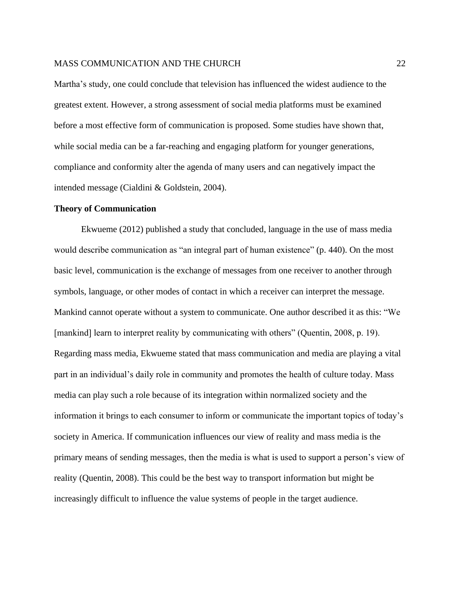Martha's study, one could conclude that television has influenced the widest audience to the greatest extent. However, a strong assessment of social media platforms must be examined before a most effective form of communication is proposed. Some studies have shown that, while social media can be a far-reaching and engaging platform for younger generations, compliance and conformity alter the agenda of many users and can negatively impact the intended message (Cialdini & Goldstein, 2004).

#### **Theory of Communication**

Ekwueme (2012) published a study that concluded, language in the use of mass media would describe communication as "an integral part of human existence" (p. 440). On the most basic level, communication is the exchange of messages from one receiver to another through symbols, language, or other modes of contact in which a receiver can interpret the message. Mankind cannot operate without a system to communicate. One author described it as this: "We [mankind] learn to interpret reality by communicating with others" (Quentin, 2008, p. 19). Regarding mass media, Ekwueme stated that mass communication and media are playing a vital part in an individual's daily role in community and promotes the health of culture today. Mass media can play such a role because of its integration within normalized society and the information it brings to each consumer to inform or communicate the important topics of today's society in America. If communication influences our view of reality and mass media is the primary means of sending messages, then the media is what is used to support a person's view of reality (Quentin, 2008). This could be the best way to transport information but might be increasingly difficult to influence the value systems of people in the target audience.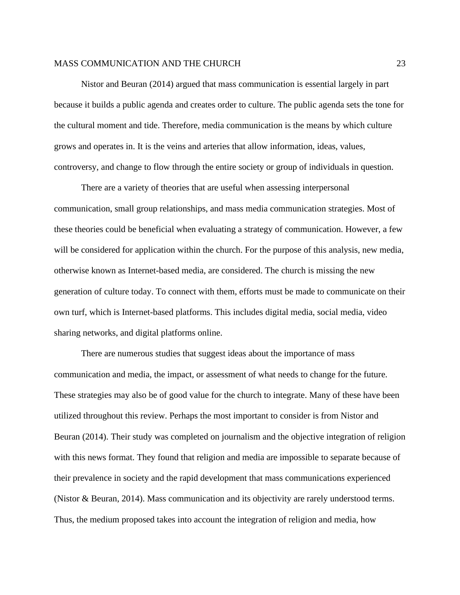Nistor and Beuran (2014) argued that mass communication is essential largely in part because it builds a public agenda and creates order to culture. The public agenda sets the tone for the cultural moment and tide. Therefore, media communication is the means by which culture grows and operates in. It is the veins and arteries that allow information, ideas, values, controversy, and change to flow through the entire society or group of individuals in question.

There are a variety of theories that are useful when assessing interpersonal communication, small group relationships, and mass media communication strategies. Most of these theories could be beneficial when evaluating a strategy of communication. However, a few will be considered for application within the church. For the purpose of this analysis, new media, otherwise known as Internet-based media, are considered. The church is missing the new generation of culture today. To connect with them, efforts must be made to communicate on their own turf, which is Internet-based platforms. This includes digital media, social media, video sharing networks, and digital platforms online.

There are numerous studies that suggest ideas about the importance of mass communication and media, the impact, or assessment of what needs to change for the future. These strategies may also be of good value for the church to integrate. Many of these have been utilized throughout this review. Perhaps the most important to consider is from Nistor and Beuran (2014). Their study was completed on journalism and the objective integration of religion with this news format. They found that religion and media are impossible to separate because of their prevalence in society and the rapid development that mass communications experienced (Nistor & Beuran, 2014). Mass communication and its objectivity are rarely understood terms. Thus, the medium proposed takes into account the integration of religion and media, how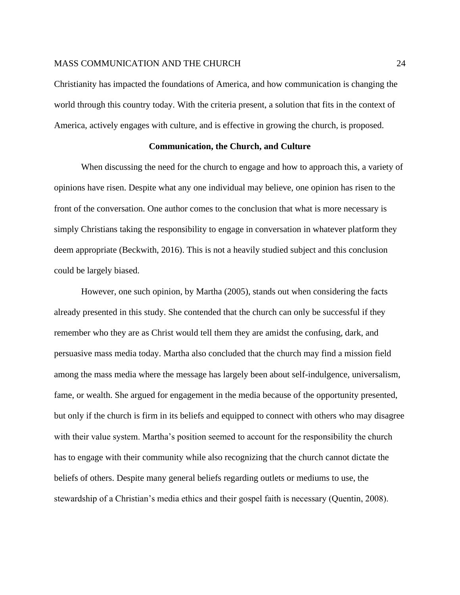Christianity has impacted the foundations of America, and how communication is changing the world through this country today. With the criteria present, a solution that fits in the context of America, actively engages with culture, and is effective in growing the church, is proposed.

## **Communication, the Church, and Culture**

When discussing the need for the church to engage and how to approach this, a variety of opinions have risen. Despite what any one individual may believe, one opinion has risen to the front of the conversation. One author comes to the conclusion that what is more necessary is simply Christians taking the responsibility to engage in conversation in whatever platform they deem appropriate (Beckwith, 2016). This is not a heavily studied subject and this conclusion could be largely biased.

However, one such opinion, by Martha (2005), stands out when considering the facts already presented in this study. She contended that the church can only be successful if they remember who they are as Christ would tell them they are amidst the confusing, dark, and persuasive mass media today. Martha also concluded that the church may find a mission field among the mass media where the message has largely been about self-indulgence, universalism, fame, or wealth. She argued for engagement in the media because of the opportunity presented, but only if the church is firm in its beliefs and equipped to connect with others who may disagree with their value system. Martha's position seemed to account for the responsibility the church has to engage with their community while also recognizing that the church cannot dictate the beliefs of others. Despite many general beliefs regarding outlets or mediums to use, the stewardship of a Christian's media ethics and their gospel faith is necessary (Quentin, 2008).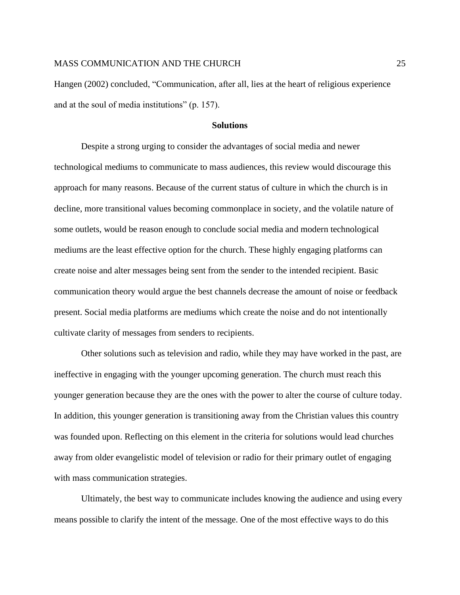Hangen (2002) concluded, "Communication, after all, lies at the heart of religious experience and at the soul of media institutions" (p. 157).

#### **Solutions**

Despite a strong urging to consider the advantages of social media and newer technological mediums to communicate to mass audiences, this review would discourage this approach for many reasons. Because of the current status of culture in which the church is in decline, more transitional values becoming commonplace in society, and the volatile nature of some outlets, would be reason enough to conclude social media and modern technological mediums are the least effective option for the church. These highly engaging platforms can create noise and alter messages being sent from the sender to the intended recipient. Basic communication theory would argue the best channels decrease the amount of noise or feedback present. Social media platforms are mediums which create the noise and do not intentionally cultivate clarity of messages from senders to recipients.

Other solutions such as television and radio, while they may have worked in the past, are ineffective in engaging with the younger upcoming generation. The church must reach this younger generation because they are the ones with the power to alter the course of culture today. In addition, this younger generation is transitioning away from the Christian values this country was founded upon. Reflecting on this element in the criteria for solutions would lead churches away from older evangelistic model of television or radio for their primary outlet of engaging with mass communication strategies.

Ultimately, the best way to communicate includes knowing the audience and using every means possible to clarify the intent of the message. One of the most effective ways to do this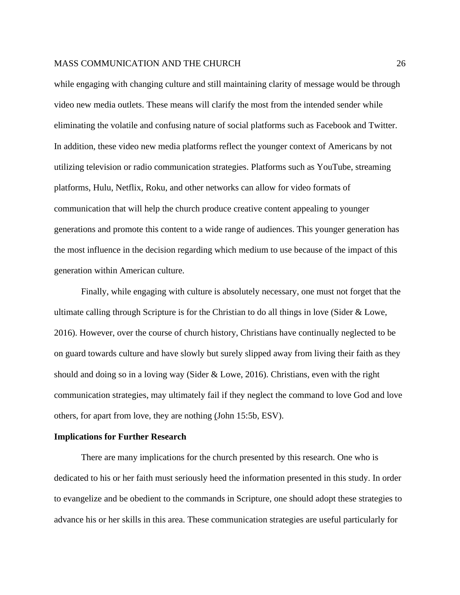while engaging with changing culture and still maintaining clarity of message would be through video new media outlets. These means will clarify the most from the intended sender while eliminating the volatile and confusing nature of social platforms such as Facebook and Twitter. In addition, these video new media platforms reflect the younger context of Americans by not utilizing television or radio communication strategies. Platforms such as YouTube, streaming platforms, Hulu, Netflix, Roku, and other networks can allow for video formats of communication that will help the church produce creative content appealing to younger generations and promote this content to a wide range of audiences. This younger generation has the most influence in the decision regarding which medium to use because of the impact of this generation within American culture.

Finally, while engaging with culture is absolutely necessary, one must not forget that the ultimate calling through Scripture is for the Christian to do all things in love (Sider & Lowe, 2016). However, over the course of church history, Christians have continually neglected to be on guard towards culture and have slowly but surely slipped away from living their faith as they should and doing so in a loving way (Sider & Lowe, 2016). Christians, even with the right communication strategies, may ultimately fail if they neglect the command to love God and love others, for apart from love, they are nothing (John 15:5b, ESV).

## **Implications for Further Research**

There are many implications for the church presented by this research. One who is dedicated to his or her faith must seriously heed the information presented in this study. In order to evangelize and be obedient to the commands in Scripture, one should adopt these strategies to advance his or her skills in this area. These communication strategies are useful particularly for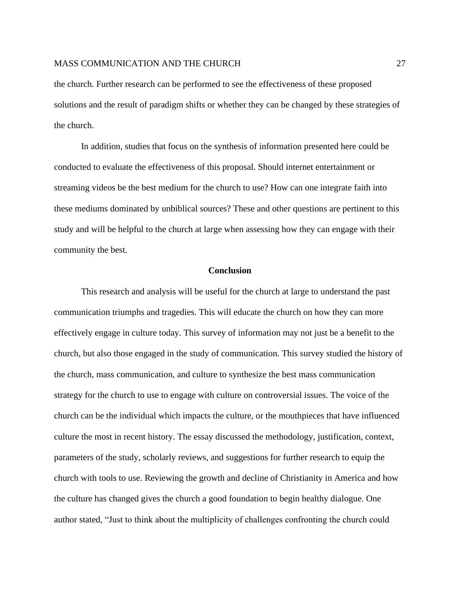the church. Further research can be performed to see the effectiveness of these proposed solutions and the result of paradigm shifts or whether they can be changed by these strategies of the church.

In addition, studies that focus on the synthesis of information presented here could be conducted to evaluate the effectiveness of this proposal. Should internet entertainment or streaming videos be the best medium for the church to use? How can one integrate faith into these mediums dominated by unbiblical sources? These and other questions are pertinent to this study and will be helpful to the church at large when assessing how they can engage with their community the best.

#### **Conclusion**

This research and analysis will be useful for the church at large to understand the past communication triumphs and tragedies. This will educate the church on how they can more effectively engage in culture today. This survey of information may not just be a benefit to the church, but also those engaged in the study of communication. This survey studied the history of the church, mass communication, and culture to synthesize the best mass communication strategy for the church to use to engage with culture on controversial issues. The voice of the church can be the individual which impacts the culture, or the mouthpieces that have influenced culture the most in recent history. The essay discussed the methodology, justification, context, parameters of the study, scholarly reviews, and suggestions for further research to equip the church with tools to use. Reviewing the growth and decline of Christianity in America and how the culture has changed gives the church a good foundation to begin healthy dialogue. One author stated, "Just to think about the multiplicity of challenges confronting the church could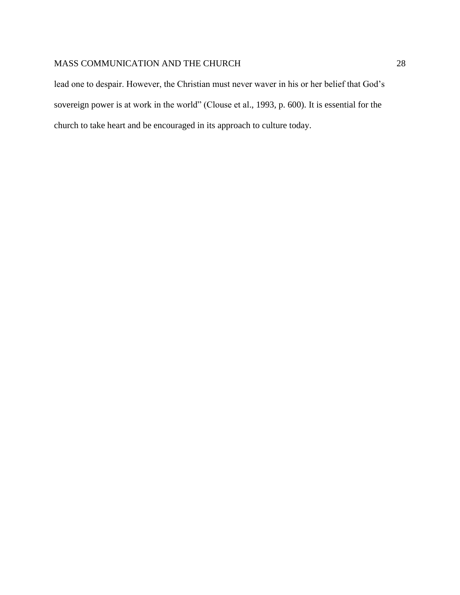lead one to despair. However, the Christian must never waver in his or her belief that God's sovereign power is at work in the world" (Clouse et al., 1993, p. 600). It is essential for the church to take heart and be encouraged in its approach to culture today.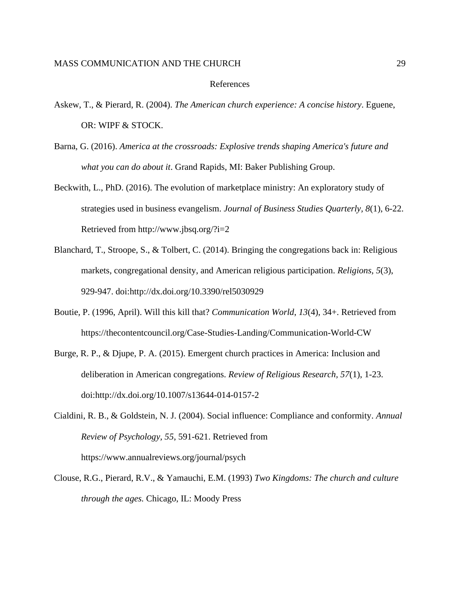#### References

- Askew, T., & Pierard, R. (2004). *The American church experience: A concise history*. Eguene, OR: WIPF & STOCK.
- Barna, G. (2016). *America at the crossroads: Explosive trends shaping America's future and what you can do about it*. Grand Rapids, MI: Baker Publishing Group.
- Beckwith, L., PhD. (2016). The evolution of marketplace ministry: An exploratory study of strategies used in business evangelism. *Journal of Business Studies Quarterly, 8*(1), 6-22. Retrieved from http://www.jbsq.org/?i=2
- Blanchard, T., Stroope, S., & Tolbert, C. (2014). Bringing the congregations back in: Religious markets, congregational density, and American religious participation. *Religions, 5*(3), 929-947. doi:http://dx.doi.org/10.3390/rel5030929
- Boutie, P. (1996, April). Will this kill that? *Communication World*, *13*(4), 34+. Retrieved from https://thecontentcouncil.org/Case-Studies-Landing/Communication-World-CW
- Burge, R. P., & Djupe, P. A. (2015). Emergent church practices in America: Inclusion and deliberation in American congregations. *Review of Religious Research, 57*(1), 1-23. doi:http://dx.doi.org/10.1007/s13644-014-0157-2
- Cialdini, R. B., & Goldstein, N. J. (2004). Social influence: Compliance and conformity. *Annual Review of Psychology, 55*, 591-621. Retrieved from https://www.annualreviews.org/journal/psych
- Clouse, R.G., Pierard, R.V., & Yamauchi, E.M. (1993) *Two Kingdoms: The church and culture through the ages.* Chicago, IL: Moody Press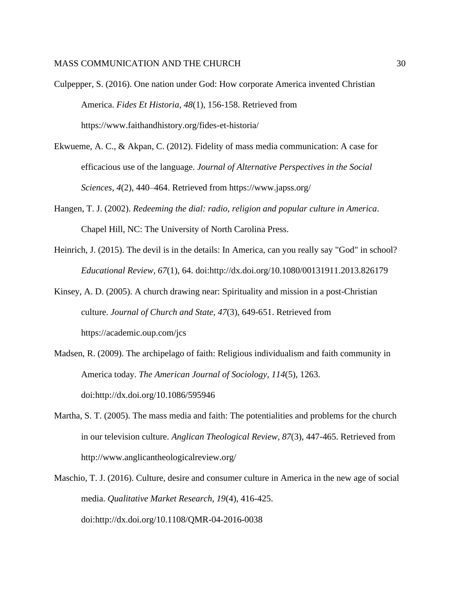- Culpepper, S. (2016). One nation under God: How corporate America invented Christian America. *Fides Et Historia, 48*(1), 156-158. Retrieved from https://www.faithandhistory.org/fides-et-historia/
- Ekwueme, A. C., & Akpan, C. (2012). Fidelity of mass media communication: A case for efficacious use of the language. *Journal of Alternative Perspectives in the Social Sciences*, *4*(2), 440–464. Retrieved from https://www.japss.org/
- Hangen, T. J. (2002). *Redeeming the dial: radio, religion and popular culture in America*. Chapel Hill, NC: The University of North Carolina Press.
- Heinrich, J. (2015). The devil is in the details: In America, can you really say "God" in school? *Educational Review, 67*(1), 64. doi:http://dx.doi.org/10.1080/00131911.2013.826179
- Kinsey, A. D. (2005). A church drawing near: Spirituality and mission in a post-Christian culture. *Journal of Church and State, 47*(3), 649-651. Retrieved from https://academic.oup.com/jcs
- Madsen, R. (2009). The archipelago of faith: Religious individualism and faith community in America today. *The American Journal of Sociology, 114*(5), 1263. doi:http://dx.doi.org/10.1086/595946
- Martha, S. T. (2005). The mass media and faith: The potentialities and problems for the church in our television culture. *Anglican Theological Review, 87*(3), 447-465. Retrieved from http://www.anglicantheologicalreview.org/
- Maschio, T. J. (2016). Culture, desire and consumer culture in America in the new age of social media. *Qualitative Market Research, 19*(4), 416-425. doi:http://dx.doi.org/10.1108/QMR-04-2016-0038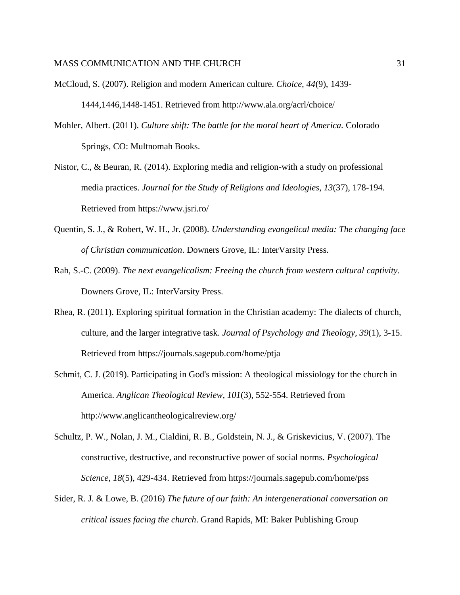- McCloud, S. (2007). Religion and modern American culture. *Choice, 44*(9), 1439- 1444,1446,1448-1451. Retrieved from http://www.ala.org/acrl/choice/
- Mohler, Albert. (2011). *Culture shift: The battle for the moral heart of America.* Colorado Springs, CO: Multnomah Books.
- Nistor, C., & Beuran, R. (2014). Exploring media and religion-with a study on professional media practices. *Journal for the Study of Religions and Ideologies, 13*(37), 178-194. Retrieved from https://www.jsri.ro/
- Quentin, S. J., & Robert, W. H., Jr. (2008). *Understanding evangelical media: The changing face of Christian communication*. Downers Grove, IL: InterVarsity Press.
- Rah, S.-C. (2009). *The next evangelicalism: Freeing the church from western cultural captivity*. Downers Grove, IL: InterVarsity Press.
- Rhea, R. (2011). Exploring spiritual formation in the Christian academy: The dialects of church, culture, and the larger integrative task. *Journal of Psychology and Theology, 39*(1), 3-15. Retrieved from https://journals.sagepub.com/home/ptja
- Schmit, C. J. (2019). Participating in God's mission: A theological missiology for the church in America. *Anglican Theological Review, 101*(3), 552-554. Retrieved from http://www.anglicantheologicalreview.org/
- Schultz, P. W., Nolan, J. M., Cialdini, R. B., Goldstein, N. J., & Griskevicius, V. (2007). The constructive, destructive, and reconstructive power of social norms. *Psychological Science, 18*(5), 429-434. Retrieved from https://journals.sagepub.com/home/pss
- Sider, R. J. & Lowe, B. (2016) *The future of our faith: An intergenerational conversation on critical issues facing the church*. Grand Rapids, MI: Baker Publishing Group